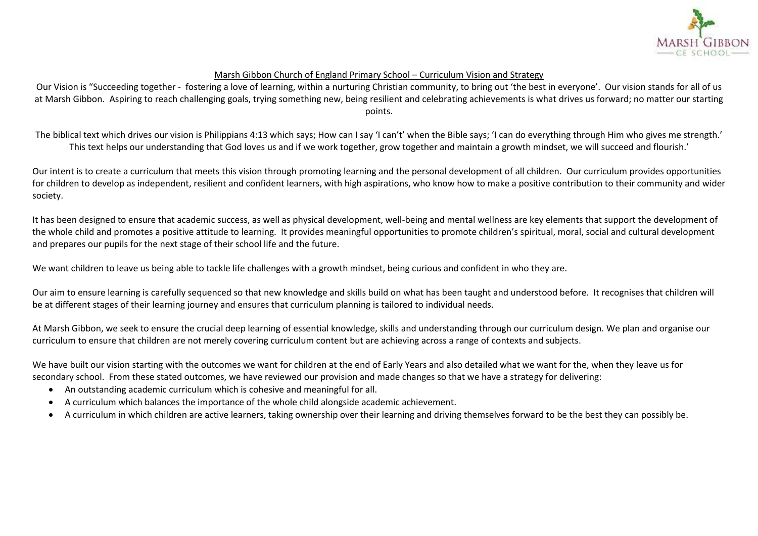

## Marsh Gibbon Church of England Primary School – Curriculum Vision and Strategy

Our Vision is "Succeeding together - fostering a love of learning, within a nurturing Christian community, to bring out 'the best in everyone'. Our vision stands for all of us at Marsh Gibbon. Aspiring to reach challenging goals, trying something new, being resilient and celebrating achievements is what drives us forward; no matter our starting points.

The biblical text which drives our vision is Philippians 4:13 which says; How can I say 'I can't' when the Bible says; 'I can do everything through Him who gives me strength.' This text helps our understanding that God loves us and if we work together, grow together and maintain a growth mindset, we will succeed and flourish.'

Our intent is to create a curriculum that meets this vision through promoting learning and the personal development of all children. Our curriculum provides opportunities for children to develop as independent, resilient and confident learners, with high aspirations, who know how to make a positive contribution to their community and wider society.

It has been designed to ensure that academic success, as well as physical development, well-being and mental wellness are key elements that support the development of the whole child and promotes a positive attitude to learning. It provides meaningful opportunities to promote children's spiritual, moral, social and cultural development and prepares our pupils for the next stage of their school life and the future.

We want children to leave us being able to tackle life challenges with a growth mindset, being curious and confident in who they are.

Our aim to ensure learning is carefully sequenced so that new knowledge and skills build on what has been taught and understood before. It recognises that children will be at different stages of their learning journey and ensures that curriculum planning is tailored to individual needs.

At Marsh Gibbon, we seek to ensure the crucial deep learning of essential knowledge, skills and understanding through our curriculum design. We plan and organise our curriculum to ensure that children are not merely covering curriculum content but are achieving across a range of contexts and subjects.

We have built our vision starting with the outcomes we want for children at the end of Early Years and also detailed what we want for the, when they leave us for secondary school. From these stated outcomes, we have reviewed our provision and made changes so that we have a strategy for delivering:

- An outstanding academic curriculum which is cohesive and meaningful for all.
- A curriculum which balances the importance of the whole child alongside academic achievement.
- A curriculum in which children are active learners, taking ownership over their learning and driving themselves forward to be the best they can possibly be.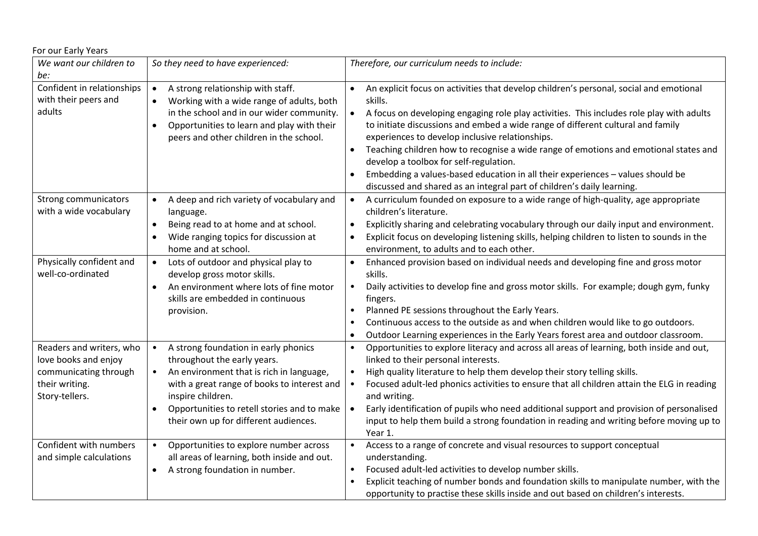| For our Early Years                                                                                           |                                                                                                                                                                                                                                                                                          |                                                                                                                                                                                                                                                                                                                                                                                                                                                                                                                                                                                                                                                                                       |
|---------------------------------------------------------------------------------------------------------------|------------------------------------------------------------------------------------------------------------------------------------------------------------------------------------------------------------------------------------------------------------------------------------------|---------------------------------------------------------------------------------------------------------------------------------------------------------------------------------------------------------------------------------------------------------------------------------------------------------------------------------------------------------------------------------------------------------------------------------------------------------------------------------------------------------------------------------------------------------------------------------------------------------------------------------------------------------------------------------------|
| We want our children to<br>be:                                                                                | So they need to have experienced:                                                                                                                                                                                                                                                        | Therefore, our curriculum needs to include:                                                                                                                                                                                                                                                                                                                                                                                                                                                                                                                                                                                                                                           |
| Confident in relationships<br>with their peers and<br>adults                                                  | A strong relationship with staff.<br>$\bullet$<br>Working with a wide range of adults, both<br>in the school and in our wider community.<br>Opportunities to learn and play with their<br>$\bullet$<br>peers and other children in the school.                                           | An explicit focus on activities that develop children's personal, social and emotional<br>$\bullet$<br>skills.<br>A focus on developing engaging role play activities. This includes role play with adults<br>$\bullet$<br>to initiate discussions and embed a wide range of different cultural and family<br>experiences to develop inclusive relationships.<br>Teaching children how to recognise a wide range of emotions and emotional states and<br>$\bullet$<br>develop a toolbox for self-regulation.<br>Embedding a values-based education in all their experiences - values should be<br>$\bullet$<br>discussed and shared as an integral part of children's daily learning. |
| Strong communicators<br>with a wide vocabulary                                                                | A deep and rich variety of vocabulary and<br>language.<br>Being read to at home and at school.<br>$\bullet$<br>Wide ranging topics for discussion at<br>$\bullet$<br>home and at school.                                                                                                 | A curriculum founded on exposure to a wide range of high-quality, age appropriate<br>$\bullet$<br>children's literature.<br>Explicitly sharing and celebrating vocabulary through our daily input and environment.<br>$\bullet$<br>Explicit focus on developing listening skills, helping children to listen to sounds in the<br>$\bullet$<br>environment, to adults and to each other.                                                                                                                                                                                                                                                                                               |
| Physically confident and<br>well-co-ordinated                                                                 | Lots of outdoor and physical play to<br>$\bullet$<br>develop gross motor skills.<br>An environment where lots of fine motor<br>skills are embedded in continuous<br>provision.                                                                                                           | Enhanced provision based on individual needs and developing fine and gross motor<br>$\bullet$<br>skills.<br>Daily activities to develop fine and gross motor skills. For example; dough gym, funky<br>$\bullet$<br>fingers.<br>Planned PE sessions throughout the Early Years.<br>$\bullet$<br>Continuous access to the outside as and when children would like to go outdoors.<br>$\bullet$<br>Outdoor Learning experiences in the Early Years forest area and outdoor classroom.<br>$\bullet$                                                                                                                                                                                       |
| Readers and writers, who<br>love books and enjoy<br>communicating through<br>their writing.<br>Story-tellers. | A strong foundation in early phonics<br>$\bullet$<br>throughout the early years.<br>An environment that is rich in language,<br>with a great range of books to interest and<br>inspire children.<br>Opportunities to retell stories and to make<br>their own up for different audiences. | Opportunities to explore literacy and across all areas of learning, both inside and out,<br>$\bullet$<br>linked to their personal interests.<br>High quality literature to help them develop their story telling skills.<br>$\bullet$<br>Focused adult-led phonics activities to ensure that all children attain the ELG in reading<br>$\bullet$<br>and writing.<br>Early identification of pupils who need additional support and provision of personalised<br>$\bullet$<br>input to help them build a strong foundation in reading and writing before moving up to<br>Year 1.                                                                                                       |
| Confident with numbers<br>and simple calculations                                                             | Opportunities to explore number across<br>all areas of learning, both inside and out.<br>A strong foundation in number.<br>$\bullet$                                                                                                                                                     | Access to a range of concrete and visual resources to support conceptual<br>understanding.<br>Focused adult-led activities to develop number skills.<br>Explicit teaching of number bonds and foundation skills to manipulate number, with the<br>opportunity to practise these skills inside and out based on children's interests.                                                                                                                                                                                                                                                                                                                                                  |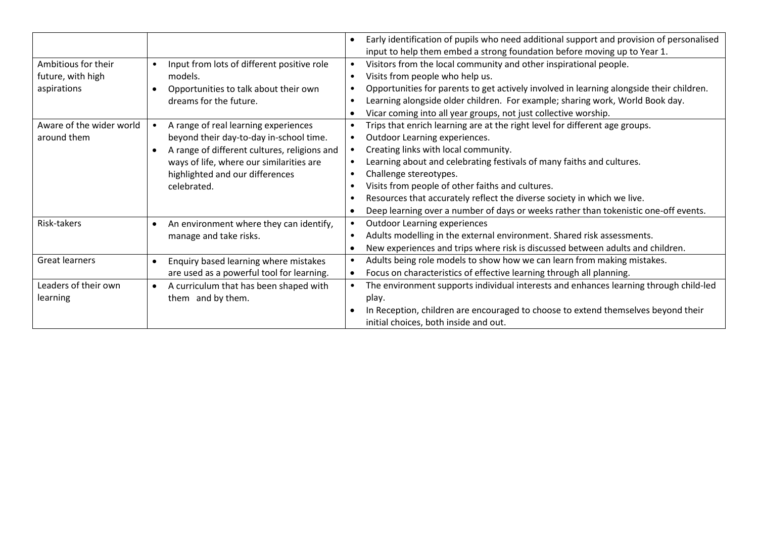|                          |                                                           | Early identification of pupils who need additional support and provision of personalised<br>$\bullet$ |
|--------------------------|-----------------------------------------------------------|-------------------------------------------------------------------------------------------------------|
|                          |                                                           | input to help them embed a strong foundation before moving up to Year 1.                              |
| Ambitious for their      | Input from lots of different positive role<br>$\bullet$   | Visitors from the local community and other inspirational people.<br>$\bullet$                        |
| future, with high        | models.                                                   | Visits from people who help us.<br>$\bullet$                                                          |
| aspirations              | Opportunities to talk about their own                     | Opportunities for parents to get actively involved in learning alongside their children.<br>$\bullet$ |
|                          | dreams for the future.                                    | Learning alongside older children. For example; sharing work, World Book day.<br>$\bullet$            |
|                          |                                                           | Vicar coming into all year groups, not just collective worship.<br>$\bullet$                          |
| Aware of the wider world | A range of real learning experiences                      | Trips that enrich learning are at the right level for different age groups.<br>$\bullet$              |
| around them              | beyond their day-to-day in-school time.                   | Outdoor Learning experiences.<br>$\bullet$                                                            |
|                          | A range of different cultures, religions and<br>$\bullet$ | Creating links with local community.<br>$\bullet$                                                     |
|                          | ways of life, where our similarities are                  | Learning about and celebrating festivals of many faiths and cultures.<br>$\bullet$                    |
|                          | highlighted and our differences                           | Challenge stereotypes.<br>$\bullet$                                                                   |
|                          | celebrated.                                               | Visits from people of other faiths and cultures.<br>$\bullet$                                         |
|                          |                                                           | Resources that accurately reflect the diverse society in which we live.<br>$\bullet$                  |
|                          |                                                           | Deep learning over a number of days or weeks rather than tokenistic one-off events.<br>$\bullet$      |
| Risk-takers              | An environment where they can identify,<br>$\bullet$      | <b>Outdoor Learning experiences</b>                                                                   |
|                          | manage and take risks.                                    | Adults modelling in the external environment. Shared risk assessments.<br>$\bullet$                   |
|                          |                                                           | New experiences and trips where risk is discussed between adults and children.<br>$\bullet$           |
| Great learners           | Enquiry based learning where mistakes<br>$\bullet$        | Adults being role models to show how we can learn from making mistakes.<br>$\bullet$                  |
|                          | are used as a powerful tool for learning.                 | Focus on characteristics of effective learning through all planning.<br>$\bullet$                     |
| Leaders of their own     | A curriculum that has been shaped with<br>$\bullet$       | The environment supports individual interests and enhances learning through child-led<br>$\bullet$    |
| learning                 | them and by them.                                         | play.                                                                                                 |
|                          |                                                           | In Reception, children are encouraged to choose to extend themselves beyond their<br>$\bullet$        |
|                          |                                                           | initial choices, both inside and out.                                                                 |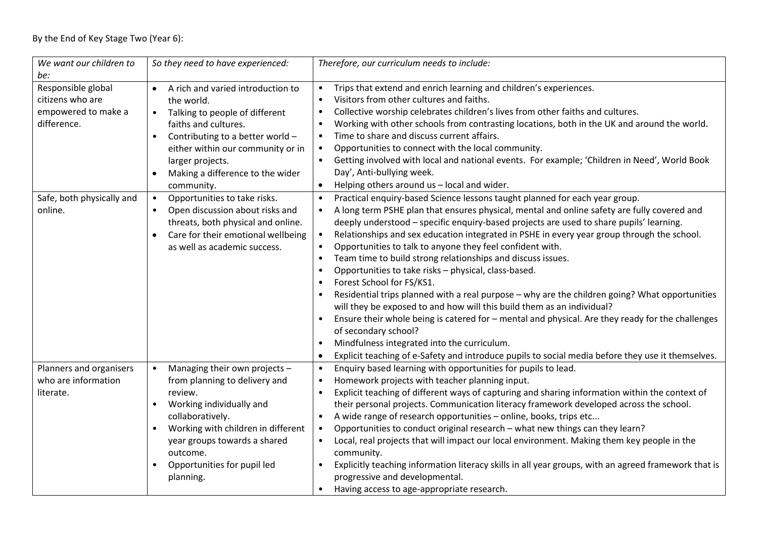| We want our children to<br>be:                                               | So they need to have experienced:                                                                                                                                                                                                                                                               | Therefore, our curriculum needs to include:                                                                                                                                                                                                                                                                                                                                                                                                                                                                                                                                                                                                                                                                                                                                                                                                                                                                                                                                                                                                                                |
|------------------------------------------------------------------------------|-------------------------------------------------------------------------------------------------------------------------------------------------------------------------------------------------------------------------------------------------------------------------------------------------|----------------------------------------------------------------------------------------------------------------------------------------------------------------------------------------------------------------------------------------------------------------------------------------------------------------------------------------------------------------------------------------------------------------------------------------------------------------------------------------------------------------------------------------------------------------------------------------------------------------------------------------------------------------------------------------------------------------------------------------------------------------------------------------------------------------------------------------------------------------------------------------------------------------------------------------------------------------------------------------------------------------------------------------------------------------------------|
| Responsible global<br>citizens who are<br>empowered to make a<br>difference. | A rich and varied introduction to<br>$\bullet$<br>the world.<br>Talking to people of different<br>$\bullet$<br>faiths and cultures.<br>Contributing to a better world -<br>$\bullet$<br>either within our community or in<br>larger projects.<br>Making a difference to the wider<br>community. | Trips that extend and enrich learning and children's experiences.<br>Visitors from other cultures and faiths.<br>Collective worship celebrates children's lives from other faiths and cultures.<br>$\bullet$<br>Working with other schools from contrasting locations, both in the UK and around the world.<br>Time to share and discuss current affairs.<br>Opportunities to connect with the local community.<br>Getting involved with local and national events. For example; 'Children in Need', World Book<br>Day', Anti-bullying week.<br>Helping others around us - local and wider.                                                                                                                                                                                                                                                                                                                                                                                                                                                                                |
| Safe, both physically and<br>online.                                         | Opportunities to take risks.<br>$\bullet$<br>Open discussion about risks and<br>threats, both physical and online.<br>Care for their emotional wellbeing<br>$\bullet$<br>as well as academic success.                                                                                           | Practical enquiry-based Science lessons taught planned for each year group.<br>A long term PSHE plan that ensures physical, mental and online safety are fully covered and<br>deeply understood - specific enquiry-based projects are used to share pupils' learning.<br>Relationships and sex education integrated in PSHE in every year group through the school.<br>Opportunities to talk to anyone they feel confident with.<br>Team time to build strong relationships and discuss issues.<br>$\bullet$<br>Opportunities to take risks - physical, class-based.<br>Forest School for FS/KS1.<br>Residential trips planned with a real purpose - why are the children going? What opportunities<br>will they be exposed to and how will this build them as an individual?<br>Ensure their whole being is catered for - mental and physical. Are they ready for the challenges<br>of secondary school?<br>Mindfulness integrated into the curriculum.<br>Explicit teaching of e-Safety and introduce pupils to social media before they use it themselves.<br>$\bullet$ |
| Planners and organisers<br>who are information<br>literate.                  | Managing their own projects -<br>from planning to delivery and<br>review.<br>Working individually and<br>collaboratively.<br>Working with children in different<br>$\bullet$<br>year groups towards a shared<br>outcome.<br>Opportunities for pupil led<br>$\bullet$<br>planning.               | Enquiry based learning with opportunities for pupils to lead.<br>$\bullet$<br>Homework projects with teacher planning input.<br>Explicit teaching of different ways of capturing and sharing information within the context of<br>their personal projects. Communication literacy framework developed across the school.<br>A wide range of research opportunities - online, books, trips etc<br>Opportunities to conduct original research - what new things can they learn?<br>$\bullet$<br>Local, real projects that will impact our local environment. Making them key people in the<br>$\bullet$<br>community.<br>Explicitly teaching information literacy skills in all year groups, with an agreed framework that is<br>progressive and developmental.                                                                                                                                                                                                                                                                                                              |
|                                                                              |                                                                                                                                                                                                                                                                                                 | Having access to age-appropriate research.                                                                                                                                                                                                                                                                                                                                                                                                                                                                                                                                                                                                                                                                                                                                                                                                                                                                                                                                                                                                                                 |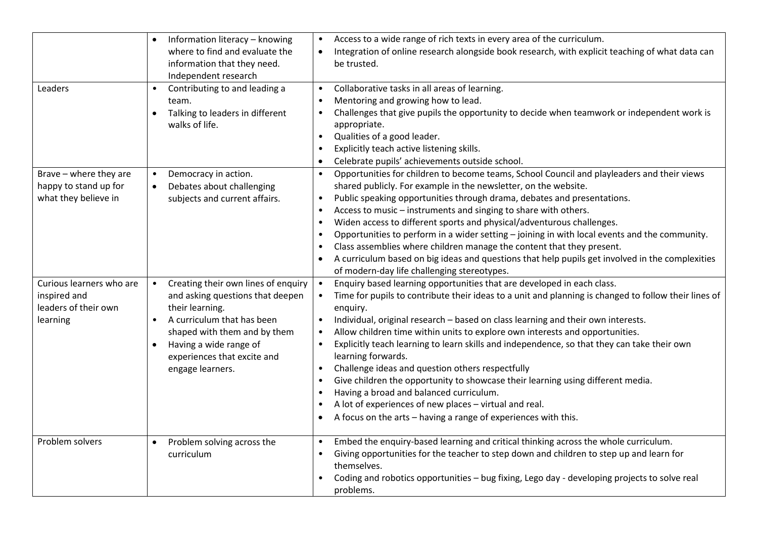|                          | $\bullet$ | Information literacy - knowing      |           | Access to a wide range of rich texts in every area of the curriculum.                                |
|--------------------------|-----------|-------------------------------------|-----------|------------------------------------------------------------------------------------------------------|
|                          |           | where to find and evaluate the      |           | Integration of online research alongside book research, with explicit teaching of what data can      |
|                          |           | information that they need.         |           | be trusted.                                                                                          |
|                          |           | Independent research                |           |                                                                                                      |
| Leaders                  | $\bullet$ | Contributing to and leading a       | $\bullet$ | Collaborative tasks in all areas of learning.                                                        |
|                          |           | team.                               |           | Mentoring and growing how to lead.                                                                   |
|                          | $\bullet$ | Talking to leaders in different     |           | Challenges that give pupils the opportunity to decide when teamwork or independent work is           |
|                          |           | walks of life.                      |           | appropriate.                                                                                         |
|                          |           |                                     |           | Qualities of a good leader.                                                                          |
|                          |           |                                     |           | Explicitly teach active listening skills.                                                            |
|                          |           |                                     |           | Celebrate pupils' achievements outside school.                                                       |
| Brave - where they are   | $\bullet$ | Democracy in action.                |           | Opportunities for children to become teams, School Council and playleaders and their views           |
| happy to stand up for    | $\bullet$ | Debates about challenging           |           | shared publicly. For example in the newsletter, on the website.                                      |
| what they believe in     |           | subjects and current affairs.       |           | Public speaking opportunities through drama, debates and presentations.                              |
|                          |           |                                     |           | Access to music - instruments and singing to share with others.                                      |
|                          |           |                                     |           | Widen access to different sports and physical/adventurous challenges.                                |
|                          |           |                                     |           | Opportunities to perform in a wider setting - joining in with local events and the community.        |
|                          |           |                                     |           | Class assemblies where children manage the content that they present.                                |
|                          |           |                                     | $\bullet$ | A curriculum based on big ideas and questions that help pupils get involved in the complexities      |
|                          |           |                                     |           | of modern-day life challenging stereotypes.                                                          |
| Curious learners who are | $\bullet$ | Creating their own lines of enquiry | $\bullet$ | Enquiry based learning opportunities that are developed in each class.                               |
| inspired and             |           | and asking questions that deepen    |           | Time for pupils to contribute their ideas to a unit and planning is changed to follow their lines of |
| leaders of their own     |           | their learning.                     |           | enquiry.                                                                                             |
| learning                 | $\bullet$ | A curriculum that has been          |           | Individual, original research - based on class learning and their own interests.                     |
|                          |           | shaped with them and by them        |           | Allow children time within units to explore own interests and opportunities.                         |
|                          | $\bullet$ | Having a wide range of              |           | Explicitly teach learning to learn skills and independence, so that they can take their own          |
|                          |           | experiences that excite and         |           | learning forwards.                                                                                   |
|                          |           | engage learners.                    |           | Challenge ideas and question others respectfully                                                     |
|                          |           |                                     |           | Give children the opportunity to showcase their learning using different media.                      |
|                          |           |                                     |           | Having a broad and balanced curriculum.                                                              |
|                          |           |                                     |           | A lot of experiences of new places - virtual and real.                                               |
|                          |           |                                     |           | A focus on the arts - having a range of experiences with this.                                       |
|                          |           |                                     |           |                                                                                                      |
| Problem solvers          | $\bullet$ | Problem solving across the          |           | Embed the enquiry-based learning and critical thinking across the whole curriculum.                  |
|                          |           | curriculum                          |           | Giving opportunities for the teacher to step down and children to step up and learn for              |
|                          |           |                                     |           | themselves.                                                                                          |
|                          |           |                                     |           | Coding and robotics opportunities - bug fixing, Lego day - developing projects to solve real         |
|                          |           |                                     |           | problems.                                                                                            |